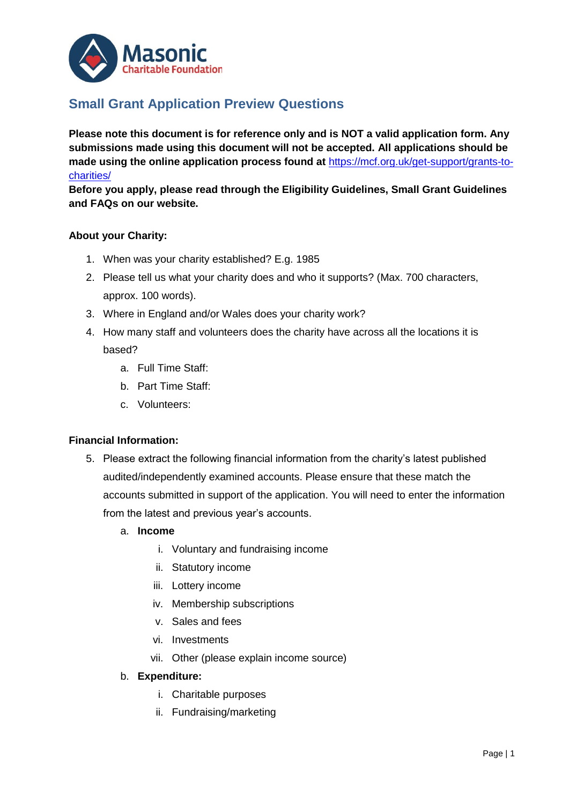

# **Small Grant Application Preview Questions**

**Please note this document is for reference only and is NOT a valid application form. Any submissions made using this document will not be accepted. All applications should be made using the online application process found at** [https://mcf.org.uk/get-support/grants-to](https://mcf.org.uk/get-support/grants-to-charities/)[charities/](https://mcf.org.uk/get-support/grants-to-charities/)

**Before you apply, please read through the Eligibility Guidelines, Small Grant Guidelines and FAQs on our website.**

#### **About your Charity:**

- 1. When was your charity established? E.g. 1985
- 2. Please tell us what your charity does and who it supports? (Max. 700 characters, approx. 100 words).
- 3. Where in England and/or Wales does your charity work?
- 4. How many staff and volunteers does the charity have across all the locations it is based?
	- a. Full Time Staff:
	- b. Part Time Staff:
	- c. Volunteers:

#### **Financial Information:**

- 5. Please extract the following financial information from the charity's latest published audited/independently examined accounts. Please ensure that these match the accounts submitted in support of the application. You will need to enter the information from the latest and previous year's accounts.
	- a. **Income**
		- i. Voluntary and fundraising income
		- ii. Statutory income
		- iii. Lottery income
		- iv. Membership subscriptions
		- v. Sales and fees
		- vi. Investments
		- vii. Other (please explain income source)

#### b. **Expenditure:**

- i. Charitable purposes
- ii. Fundraising/marketing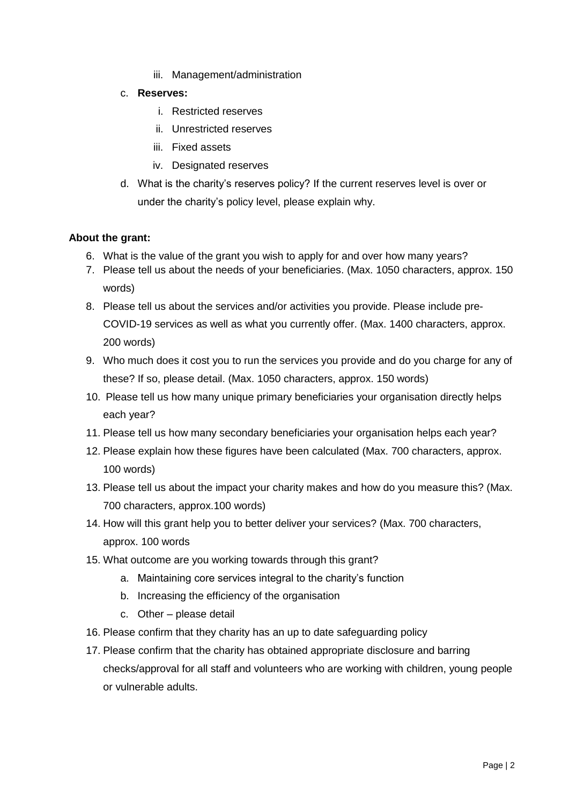- iii. Management/administration
- c. **Reserves:**
	- i. Restricted reserves
	- ii. Unrestricted reserves
	- iii. Fixed assets
	- iv. Designated reserves
- d. What is the charity's reserves policy? If the current reserves level is over or under the charity's policy level, please explain why.

#### **About the grant:**

- 6. What is the value of the grant you wish to apply for and over how many years?
- 7. Please tell us about the needs of your beneficiaries. (Max. 1050 characters, approx. 150 words)
- 8. Please tell us about the services and/or activities you provide. Please include pre-COVID-19 services as well as what you currently offer. (Max. 1400 characters, approx. 200 words)
- 9. Who much does it cost you to run the services you provide and do you charge for any of these? If so, please detail. (Max. 1050 characters, approx. 150 words)
- 10. Please tell us how many unique primary beneficiaries your organisation directly helps each year?
- 11. Please tell us how many secondary beneficiaries your organisation helps each year?
- 12. Please explain how these figures have been calculated (Max. 700 characters, approx. 100 words)
- 13. Please tell us about the impact your charity makes and how do you measure this? (Max. 700 characters, approx.100 words)
- 14. How will this grant help you to better deliver your services? (Max. 700 characters, approx. 100 words
- 15. What outcome are you working towards through this grant?
	- a. Maintaining core services integral to the charity's function
	- b. Increasing the efficiency of the organisation
	- c. Other please detail
- 16. Please confirm that they charity has an up to date safeguarding policy
- 17. Please confirm that the charity has obtained appropriate disclosure and barring checks/approval for all staff and volunteers who are working with children, young people or vulnerable adults.